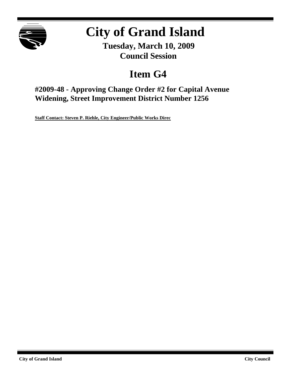

# **City of Grand Island**

**Tuesday, March 10, 2009 Council Session**

# **Item G4**

**#2009-48 - Approving Change Order #2 for Capital Avenue Widening, Street Improvement District Number 1256**

**Staff Contact: Steven P. Riehle, City Engineer/Public Works Direc**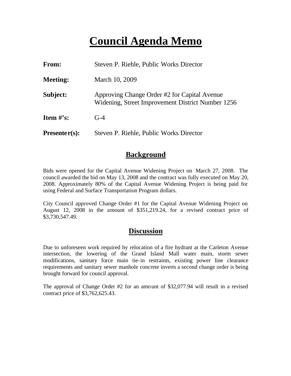# **Council Agenda Memo**

| <b>From:</b>    | Steven P. Riehle, Public Works Director                                                           |  |  |
|-----------------|---------------------------------------------------------------------------------------------------|--|--|
| <b>Meeting:</b> | March 10, 2009                                                                                    |  |  |
| Subject:        | Approving Change Order #2 for Capital Avenue<br>Widening, Street Improvement District Number 1256 |  |  |
| Item #'s:       | $G-4$                                                                                             |  |  |
| $Presenter(s):$ | Steven P. Riehle, Public Works Director                                                           |  |  |

## **Background**

Bids were opened for the Capital Avenue Widening Project on March 27, 2008. The council awarded the bid on May 13, 2008 and the contract was fully executed on May 20, 2008. Approximately 80% of the Capital Avenue Widening Project is being paid for using Federal and Surface Transportation Program dollars.

City Council approved Change Order #1 for the Capital Avenue Widening Project on August 12, 2008 in the amount of \$351,219.24, for a revised contract price of \$3,730,547.49.

## **Discussion**

Due to unforeseen work required by relocation of a fire hydrant at the Carleton Avenue intersection, the lowering of the Grand Island Mall water main, storm sewer modifications, sanitary force main tie-in restraints, existing power line clearance requirements and sanitary sewer manhole concrete inverts a second change order is being brought forward for council approval.

The approval of Change Order #2 for an amount of \$32,077.94 will result in a revised contract price of \$3,762,625.43.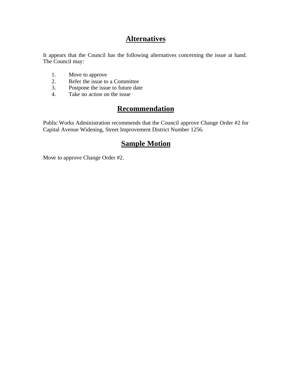# **Alternatives**

It appears that the Council has the following alternatives concerning the issue at hand. The Council may:

- 1. Move to approve
- 2. Refer the issue to a Committee<br>3. Postpone the issue to future date
- Postpone the issue to future date
- 4. Take no action on the issue

# **Recommendation**

Public Works Administration recommends that the Council approve Change Order #2 for Capital Avenue Widening, Street Improvement District Number 1256.

## **Sample Motion**

Move to approve Change Order #2.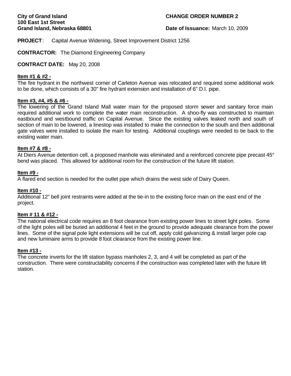#### **City of Grand Island CHANGE ORDER NUMBER 2**

**Grand Island, Nebraska 68801 Date of Issuance:** March 10, 2009

**PROJECT**: Capital Avenue Widening, Street Improvement District 1256

**CONTRACTOR:** The Diamond Engineering Company

#### **CONTRACT DATE:** May 20, 2008

#### **Item #1 & #2 -**

The fire hydrant in the northwest corner of Carleton Avenue was relocated and required some additional work to be done, which consists of a 30" fire hydrant extension and installation of 6" D.I. pipe.

#### **Item #3, #4, #5 & #6 -**

The lowering of the Grand Island Mall water main for the proposed storm sewer and sanitary force main required additional work to complete the water main reconstruction. A shoo-fly was constructed to maintain eastbound and westbound traffic on Capital Avenue. Since the existing valves leaked north and south of section of main to be lowered, a linestop was installed to make the connection to the south and then additional gate valves were installed to isolate the main for testing. Additional couplings were needed to tie back to the existing water main.

#### **Item #7 & #8 -**

At Diers Avenue detention cell, a proposed manhole was eliminated and a reinforced concrete pipe precast 45° bend was placed. This allowed for additional room for the construction of the future lift station.

#### **Item #9 -**

A flared end section is needed for the outlet pipe which drains the west side of Dairy Queen.

#### **Item #10 -**

Additional 12" bell joint restraints were added at the tie-in to the existing force main on the east end of the project.

#### **Item # 11 & #12 -**

The national electrical code requires an 8 foot clearance from existing power lines to street light poles. Some of the light poles will be buried an additional 4 feet in the ground to provide adequate clearance from the power lines. Some of the signal pole light extensions will be cut off, apply cold galvanizing & install larger pole cap and new luminaire arms to provide 8 foot clearance from the existing power line.

#### **Item #13 -**

The concrete inverts for the lift station bypass manholes 2, 3, and 4 will be completed as part of the construction. There were constructability concerns if the construction was completed later with the future lift station.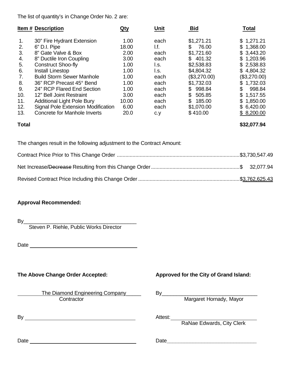The list of quantity's in Change Order No. 2 are:

|     | <b>Item # Description</b>           | Qty   | Unit | <b>Bid</b>    | Total           |
|-----|-------------------------------------|-------|------|---------------|-----------------|
| 1.  | 30" Fire Hydrant Extension          | 1.00  | each | \$1,271.21    | \$1,271.21      |
| 2.  | 6" D.I. Pipe                        | 18.00 | l.f. | \$<br>76.00   | \$1,368.00      |
| 3.  | 8" Gate Valve & Box                 | 2.00  | each | \$1,721.60    | \$3,443.20      |
| 4.  | 8" Ductile Iron Coupling            | 3.00  | each | \$401.32      | \$1,203.96      |
| 5.  | <b>Construct Shoo-fly</b>           | 1.00  | l.s. | \$2,538.83    | \$2,538.83      |
| 6.  | Install Linestop                    | 1.00  | l.s. | \$4,804.32    | \$4,804.32      |
| 7.  | <b>Build Storm Sewer Manhole</b>    | 1.00  | each | (\$3,270.00)  | (\$3,270.00)    |
| 8.  | 36" RCP Precast 45° Bend            | 1.00  | each | \$1,732.03    | \$1,732.03      |
| 9.  | 24" RCP Flared End Section          | 1.00  | each | 998.84<br>\$. | \$.<br>998.84   |
| 10. | 12" Bell Joint Restraint            | 3.00  | each | 505.85<br>\$  | \$1,517.55      |
| 11. | <b>Additional Light Pole Bury</b>   | 10.00 | each | 185.00<br>\$. | 1,850.00<br>\$. |
| 12. | Signal Pole Extension Modification  | 6.00  | each | \$1,070.00    | \$6,420.00      |
| 13. | <b>Concrete for Manhole Inverts</b> | 20.0  | c.y  | \$410.00      | \$8,200.00      |

**Total \$32,077.94**

The changes result in the following adjustment to the Contract Amount:

### **Approval Recommended:**

By\_\_\_\_\_\_\_\_\_\_\_\_\_\_\_\_\_\_\_\_\_\_\_\_\_\_\_\_\_\_\_\_\_\_\_\_\_\_\_

Steven P. Riehle, Public Works Director

Date and the contract of the contract of the contract of the contract of the contract of the contract of the contract of the contract of the contract of the contract of the contract of the contract of the contract of the c

 The Diamond Engineering Company\_\_\_\_\_ By\_\_\_\_\_\_\_\_\_\_\_\_\_\_\_\_\_\_\_\_\_\_\_\_\_\_\_\_\_\_\_\_\_ Contractor **Margaret Hornady, Mayor** Margaret Hornady, Mayor

By Attest:

### **The Above Change Order Accepted: Approved for the City of Grand Island:**

RaNae Edwards, City Clerk

Date Date**\_\_\_\_\_\_\_\_\_\_\_\_\_\_\_\_\_\_\_\_\_\_\_\_\_\_\_\_\_\_\_**